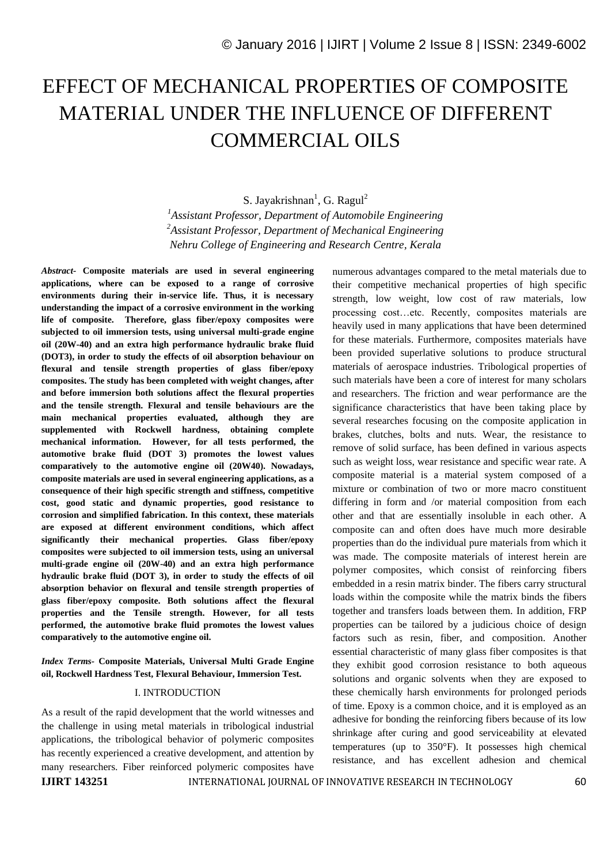# EFFECT OF MECHANICAL PROPERTIES OF COMPOSITE MATERIAL UNDER THE INFLUENCE OF DIFFERENT COMMERCIAL OILS

S. Jayakrishnan<sup>1</sup>, G. Ragul<sup>2</sup> *<sup>1</sup>Assistant Professor, Department of Automobile Engineering <sup>2</sup>Assistant Professor, Department of Mechanical Engineering Nehru College of Engineering and Research Centre, Kerala*

*Abstract-* **Composite materials are used in several engineering applications, where can be exposed to a range of corrosive environments during their in-service life. Thus, it is necessary understanding the impact of a corrosive environment in the working life of composite. Therefore, glass fiber/epoxy composites were subjected to oil immersion tests, using universal multi-grade engine oil (20W-40) and an extra high performance hydraulic brake fluid (DOT3), in order to study the effects of oil absorption behaviour on flexural and tensile strength properties of glass fiber/epoxy composites. The study has been completed with weight changes, after and before immersion both solutions affect the flexural properties and the tensile strength. Flexural and tensile behaviours are the main mechanical properties evaluated, although they are supplemented with Rockwell hardness, obtaining complete mechanical information. However, for all tests performed, the automotive brake fluid (DOT 3) promotes the lowest values comparatively to the automotive engine oil (20W40). Nowadays, composite materials are used in several engineering applications, as a consequence of their high specific strength and stiffness, competitive cost, good static and dynamic properties, good resistance to corrosion and simplified fabrication. In this context, these materials are exposed at different environment conditions, which affect significantly their mechanical properties. Glass fiber/epoxy composites were subjected to oil immersion tests, using an universal multi-grade engine oil (20W-40) and an extra high performance hydraulic brake fluid (DOT 3), in order to study the effects of oil absorption behavior on flexural and tensile strength properties of glass fiber/epoxy composite. Both solutions affect the flexural properties and the Tensile strength. However, for all tests performed, the automotive brake fluid promotes the lowest values comparatively to the automotive engine oil.**

*Index Terms-* **Composite Materials, Universal Multi Grade Engine oil, Rockwell Hardness Test, Flexural Behaviour, Immersion Test.**

### I. INTRODUCTION

As a result of the rapid development that the world witnesses and the challenge in using metal materials in tribological industrial applications, the tribological behavior of polymeric composites has recently experienced a creative development, and attention by many researchers. Fiber reinforced polymeric composites have numerous advantages compared to the metal materials due to their competitive mechanical properties of high specific strength, low weight, low cost of raw materials, low processing cost…etc. Recently, composites materials are heavily used in many applications that have been determined for these materials. Furthermore, composites materials have been provided superlative solutions to produce structural materials of aerospace industries. Tribological properties of such materials have been a core of interest for many scholars and researchers. The friction and wear performance are the significance characteristics that have been taking place by several researches focusing on the composite application in brakes, clutches, bolts and nuts. Wear, the resistance to remove of solid surface, has been defined in various aspects such as weight loss, wear resistance and specific wear rate. A composite material is a material system composed of a mixture or combination of two or more macro constituent differing in form and /or material composition from each other and that are essentially insoluble in each other. A composite can and often does have much more desirable properties than do the individual pure materials from which it was made. The composite materials of interest herein are polymer composites, which consist of reinforcing fibers embedded in a resin matrix binder. The fibers carry structural loads within the composite while the matrix binds the fibers together and transfers loads between them. In addition, FRP properties can be tailored by a judicious choice of design factors such as resin, fiber, and composition. Another essential characteristic of many glass fiber composites is that they exhibit good corrosion resistance to both aqueous solutions and organic solvents when they are exposed to these chemically harsh environments for prolonged periods of time. Epoxy is a common choice, and it is employed as an adhesive for bonding the reinforcing fibers because of its low shrinkage after curing and good serviceability at elevated temperatures (up to 350°F). It possesses high chemical resistance, and has excellent adhesion and chemical

**IJIRT 143251** INTERNATIONAL JOURNAL OF INNOVATIVE RESEARCH IN TECHNOLOGY 60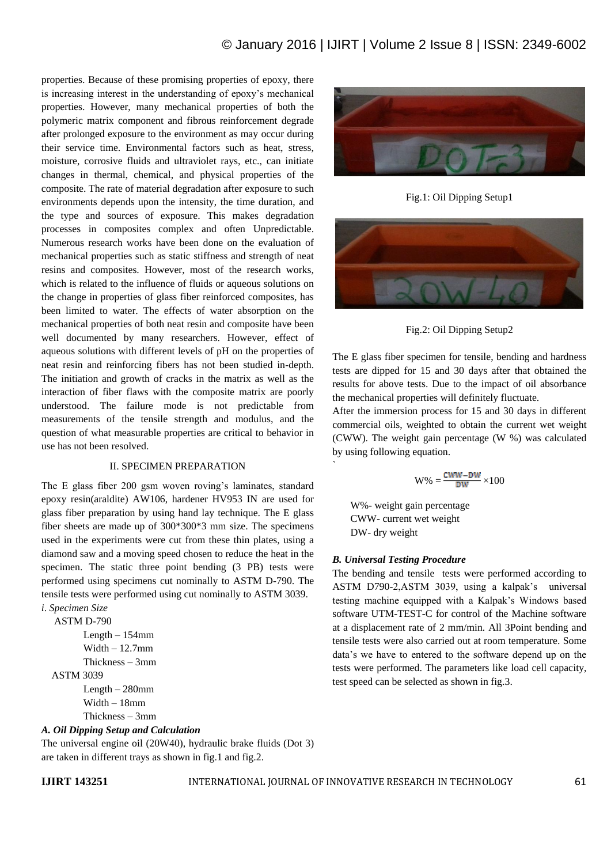properties. Because of these promising properties of epoxy, there is increasing interest in the understanding of epoxy's mechanical properties. However, many mechanical properties of both the polymeric matrix component and fibrous reinforcement degrade after prolonged exposure to the environment as may occur during their service time. Environmental factors such as heat, stress, moisture, corrosive fluids and ultraviolet rays, etc., can initiate changes in thermal, chemical, and physical properties of the composite. The rate of material degradation after exposure to such environments depends upon the intensity, the time duration, and the type and sources of exposure. This makes degradation processes in composites complex and often Unpredictable. Numerous research works have been done on the evaluation of mechanical properties such as static stiffness and strength of neat resins and composites. However, most of the research works, which is related to the influence of fluids or aqueous solutions on the change in properties of glass fiber reinforced composites, has been limited to water. The effects of water absorption on the mechanical properties of both neat resin and composite have been well documented by many researchers. However, effect of aqueous solutions with different levels of pH on the properties of neat resin and reinforcing fibers has not been studied in-depth. The initiation and growth of cracks in the matrix as well as the interaction of fiber flaws with the composite matrix are poorly understood. The failure mode is not predictable from measurements of the tensile strength and modulus, and the question of what measurable properties are critical to behavior in use has not been resolved.

#### II. SPECIMEN PREPARATION

The E glass fiber 200 gsm woven roving's laminates, standard epoxy resin(araldite) AW106, hardener HV953 IN are used for glass fiber preparation by using hand lay technique. The E glass fiber sheets are made up of 300\*300\*3 mm size. The specimens used in the experiments were cut from these thin plates, using a diamond saw and a moving speed chosen to reduce the heat in the specimen. The static three point bending (3 PB) tests were performed using specimens cut nominally to ASTM D-790. The tensile tests were performed using cut nominally to ASTM 3039.

## *i*. *Specimen Size*

 ASTM D-790 Length – 154mm Width  $-12.7$ mm Thickness – 3mm

 ASTM 3039 Length – 280mm Width – 18mm Thickness – 3mm

#### *A. Oil Dipping Setup and Calculation*

The universal engine oil (20W40), hydraulic brake fluids (Dot 3) are taken in different trays as shown in fig.1 and fig.2.

`



Fig.1: Oil Dipping Setup1





The E glass fiber specimen for tensile, bending and hardness tests are dipped for 15 and 30 days after that obtained the results for above tests. Due to the impact of oil absorbance the mechanical properties will definitely fluctuate.

After the immersion process for 15 and 30 days in different commercial oils, weighted to obtain the current wet weight (CWW). The weight gain percentage (W %) was calculated by using following equation.

$$
W\% = \frac{\text{cww}-\text{bw}}{\text{bw}} \times 100
$$

 W%- weight gain percentage CWW- current wet weight DW- dry weight

#### *B. Universal Testing Procedure*

The bending and tensile tests were performed according to ASTM D790-2,ASTM 3039, using a kalpak's universal testing machine equipped with a Kalpak's Windows based software UTM-TEST-C for control of the Machine software at a displacement rate of 2 mm/min. All 3Point bending and tensile tests were also carried out at room temperature. Some data's we have to entered to the software depend up on the tests were performed. The parameters like load cell capacity, test speed can be selected as shown in fig.3.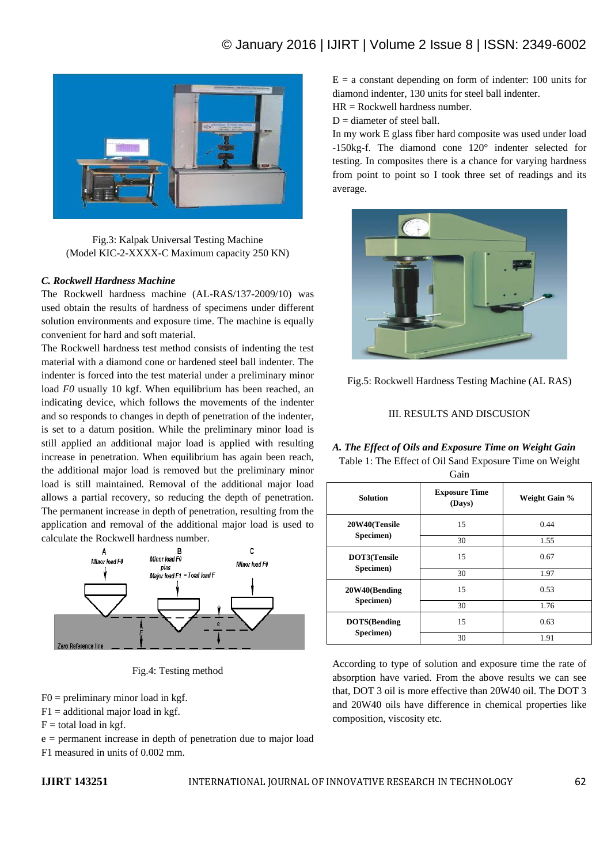

Fig.3: Kalpak Universal Testing Machine (Model KIC-2-XXXX-C Maximum capacity 250 KN)

### *C. Rockwell Hardness Machine*

The Rockwell hardness machine (AL-RAS/137-2009/10) was used obtain the results of hardness of specimens under different solution environments and exposure time. The machine is equally convenient for hard and soft material.

The Rockwell hardness test method consists of indenting the test material with a diamond cone or hardened steel ball indenter. The indenter is forced into the test material under a preliminary minor load *F0* usually 10 kgf. When equilibrium has been reached, an indicating device, which follows the movements of the indenter and so responds to changes in depth of penetration of the indenter, is set to a datum position. While the preliminary minor load is still applied an additional major load is applied with resulting increase in penetration. When equilibrium has again been reach, the additional major load is removed but the preliminary minor load is still maintained. Removal of the additional major load allows a partial recovery, so reducing the depth of penetration. The permanent increase in depth of penetration, resulting from the application and removal of the additional major load is used to calculate the Rockwell hardness number.



Fig.4: Testing method

 $F0 =$  preliminary minor load in kgf.

 $F1 =$  additional major load in kgf.

 $F =$  total load in kgf.

e = permanent increase in depth of penetration due to major load F1 measured in units of 0.002 mm.

 $E = a$  constant depending on form of indenter: 100 units for diamond indenter, 130 units for steel ball indenter.

 $HR = Rockwell$  hardness number.

 $D =$  diameter of steel ball.

In my work E glass fiber hard composite was used under load -150kg-f. The diamond cone 120° indenter selected for testing. In composites there is a chance for varying hardness from point to point so I took three set of readings and its average.





### III. RESULTS AND DISCUSION

*A. The Effect of Oils and Exposure Time on Weight Gain* Table 1: The Effect of Oil Sand Exposure Time on Weight Gain

| <b>Solution</b>                   | <b>Exposure Time</b><br>(Days) | Weight Gain % |  |  |
|-----------------------------------|--------------------------------|---------------|--|--|
| 20W40(Tensile                     | 15                             | 0.44          |  |  |
| Specimen)                         | 30                             | 1.55          |  |  |
| DOT3(Tensile                      | 15                             | 0.67          |  |  |
| Specimen)                         | 30                             | 1.97          |  |  |
| 20W40(Bending                     | 15                             | 0.53          |  |  |
| Specimen)                         | 30                             | 1.76          |  |  |
| <b>DOTS</b> (Bending<br>Specimen) | 15                             | 0.63          |  |  |
|                                   | 30                             | 1.91          |  |  |

According to type of solution and exposure time the rate of absorption have varied. From the above results we can see that, DOT 3 oil is more effective than 20W40 oil. The DOT 3 and 20W40 oils have difference in chemical properties like composition, viscosity etc.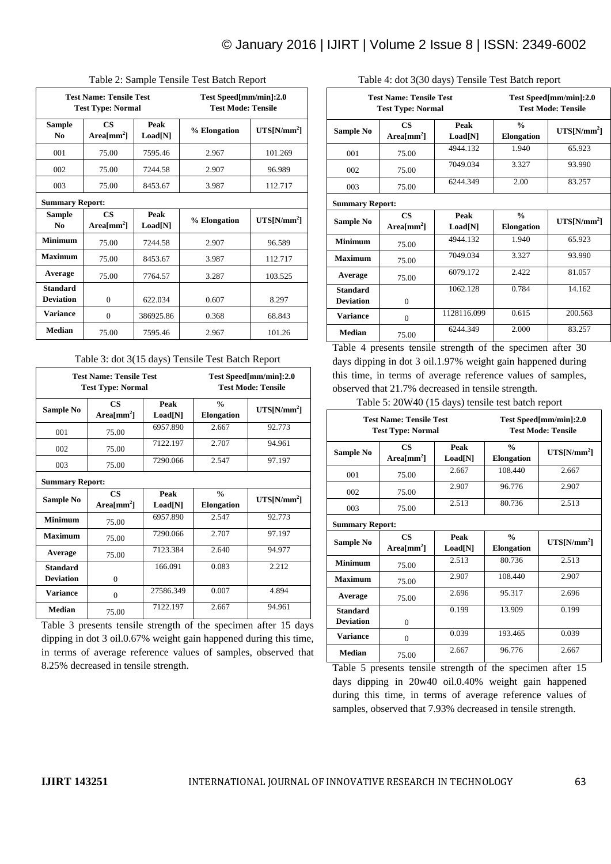|                                                            |                                      | ┻                                                   |              | ┻             |
|------------------------------------------------------------|--------------------------------------|-----------------------------------------------------|--------------|---------------|
| <b>Test Name: Tensile Test</b><br><b>Test Type: Normal</b> |                                      | Test Speed[mm/min]:2.0<br><b>Test Mode: Tensile</b> |              |               |
| <b>Sample</b><br>N <sub>0</sub>                            | $\mathbf{CS}$<br>Area ${\rm [mm^2]}$ | Peak<br>Load[N]                                     | % Elongation | $UTS[N/mm^2]$ |
| 001                                                        | 75.00                                | 7595.46                                             | 2.967        | 101.269       |
| 002                                                        | 75.00                                | 7244.58                                             | 2.907        | 96.989        |
| 003                                                        | 75.00                                | 8453.67                                             | 3.987        | 112.717       |
| <b>Summary Report:</b>                                     |                                      |                                                     |              |               |
| <b>Sample</b><br>N <sub>0</sub>                            | $\mathbf{CS}$<br>Area ${\rm [mm^2]}$ | Peak<br>Load[N]                                     | % Elongation | $UTS[N/mm^2]$ |
| <b>Minimum</b>                                             | 75.00                                | 7244.58                                             | 2.907        | 96.589        |
| <b>Maximum</b>                                             | 75.00                                | 8453.67                                             | 3.987        | 112.717       |
| Average                                                    | 75.00                                | 7764.57                                             | 3.287        | 103.525       |
| <b>Standard</b><br><b>Deviation</b>                        | $\overline{0}$                       | 622.034                                             | 0.607        | 8.297         |
| <b>Variance</b>                                            | $\overline{0}$                       | 386925.86                                           | 0.368        | 68.843        |
| <b>Median</b>                                              | 75.00                                | 7595.46                                             | 2.967        | 101.26        |

#### Table 2: Sample Tensile Test Batch Report

#### Table 3: dot 3(15 days) Tensile Test Batch Report

| <b>Test Name: Tensile Test</b><br><b>Test Type: Normal</b> |                                      | Test Speed[mm/min]:2.0<br><b>Test Mode: Tensile</b> |                                    |               |
|------------------------------------------------------------|--------------------------------------|-----------------------------------------------------|------------------------------------|---------------|
| Sample No                                                  | <b>CS</b><br>$Area/mm2$ ]            | Peak<br>Load[N]                                     | $\frac{0}{n}$<br><b>Elongation</b> | $UTS[N/mm^2]$ |
| 001                                                        | 75.00                                | 6957.890                                            | 2.667                              | 92.773        |
| 002                                                        | 75.00                                | 7122.197                                            | 2.707                              | 94.961        |
| 003                                                        | 75.00                                | 7290.066                                            | 2.547                              | 97.197        |
| <b>Summary Report:</b>                                     |                                      |                                                     |                                    |               |
| Sample No                                                  | $\mathbf{CS}$<br>Area ${\rm [mm^2]}$ | Peak<br>Load[N]                                     | $\frac{0}{0}$<br><b>Elongation</b> | $UTS[N/mm^2]$ |
| <b>Minimum</b>                                             | 75.00                                | 6957.890                                            | 2.547                              | 92.773        |
| <b>Maximum</b>                                             | 75.00                                | 7290.066                                            | 2.707                              | 97.197        |
| Average                                                    | 75.00                                | 7123.384                                            | 2.640                              | 94.977        |
| <b>Standard</b><br><b>Deviation</b>                        | $\Omega$                             | 166.091                                             | 0.083                              | 2.212         |
| <b>Variance</b>                                            | $\mathbf{0}$                         | 27586.349                                           | 0.007                              | 4.894         |
| <b>Median</b>                                              | 75.00                                | 7122.197                                            | 2.667                              | 94.961        |

Table 3 presents tensile strength of the specimen after 15 days dipping in dot 3 oil.0.67% weight gain happened during this time, in terms of average reference values of samples, observed that 8.25% decreased in tensile strength.

|                                     | <b>Test Name: Tensile Test</b><br><b>Test Type: Normal</b> |                 |                                    | Test Speed[mm/min]:2.0<br><b>Test Mode: Tensile</b> |
|-------------------------------------|------------------------------------------------------------|-----------------|------------------------------------|-----------------------------------------------------|
| Sample No                           | <b>CS</b><br>Area ${\rm [mm^2]}$                           | Peak<br>Load[N] | $\frac{0}{0}$<br><b>Elongation</b> | $UTS[N/mm^2]$                                       |
| 001                                 | 75.00                                                      | 4944.132        | 1.940                              | 65.923                                              |
| 002                                 | 75.00                                                      | 7049.034        | 3.327                              | 93.990                                              |
| 003                                 | 75.00                                                      | 6244.349        | 2.00                               | 83.257                                              |
| <b>Summary Report:</b>              |                                                            |                 |                                    |                                                     |
| Sample No                           | <b>CS</b><br>Area $\text{[mm$^2$]}$                        | Peak<br>Load[N] | $\frac{0}{0}$<br><b>Elongation</b> | $UTS[N/mm^2]$                                       |
| <b>Minimum</b>                      | 75.00                                                      | 4944.132        | 1.940                              | 65.923                                              |
| Maximum                             | 75.00                                                      | 7049.034        | 3.327                              | 93.990                                              |
| Average                             | 75.00                                                      | 6079.172        | 2.422                              | 81.057                                              |
| <b>Standard</b><br><b>Deviation</b> | $\Omega$                                                   | 1062.128        | 0.784                              | 14.162                                              |
| <b>Variance</b>                     | $\theta$                                                   | 1128116.099     | 0.615                              | 200.563                                             |
| <b>Median</b>                       | 75.00                                                      | 6244 349        | 2.000                              | 83.257                                              |

Table 4: dot 3(30 days) Tensile Test Batch report

Table 4 presents tensile strength of the specimen after 30 days dipping in dot 3 oil.1.97% weight gain happened during this time, in terms of average reference values of samples, observed that 21.7% decreased in tensile strength.

Table 5: 20W40 (15 days) tensile test batch report

| <b>Test Name: Tensile Test</b><br><b>Test Type: Normal</b> |                                      | Test Speed[mm/min]:2.0<br><b>Test Mode: Tensile</b> |                                    |               |
|------------------------------------------------------------|--------------------------------------|-----------------------------------------------------|------------------------------------|---------------|
| Sample No                                                  | $\mathbf{CS}$<br>Area ${\rm [mm^2]}$ | Peak<br>Load[N]                                     | $\frac{0}{0}$<br><b>Elongation</b> | $UTS[N/mm^2]$ |
| 001                                                        | 75.00                                | 2.667                                               | 108.440                            | 2.667         |
| 002                                                        | 75.00                                | 2.907                                               | 96.776                             | 2.907         |
| 003                                                        | 75.00                                | 2.513                                               | 80.736                             | 2.513         |
| <b>Summary Report:</b>                                     |                                      |                                                     |                                    |               |
| Sample No                                                  | CS.<br>Area $\text{[mm$^2$]}$        | Peak<br>Load[N]                                     | $\frac{0}{0}$<br><b>Elongation</b> | $UTS[N/mm^2]$ |
| <b>Minimum</b>                                             | 75.00                                | 2.513                                               | 80.736                             | 2.513         |
| Maximum                                                    | 75.00                                | 2.907                                               | 108.440                            | 2.907         |
| Average                                                    | 75.00                                | 2.696                                               | 95.317                             | 2.696         |
| <b>Standard</b><br><b>Deviation</b>                        | $\theta$                             | 0.199                                               | 13.909                             | 0.199         |
| <b>Variance</b>                                            | $\mathbf{0}$                         | 0.039                                               | 193.465                            | 0.039         |
| Median                                                     | 75.00                                | 2.667                                               | 96.776                             | 2.667         |

Table 5 presents tensile strength of the specimen after 15 days dipping in 20w40 oil.0.40% weight gain happened during this time, in terms of average reference values of samples, observed that 7.93% decreased in tensile strength.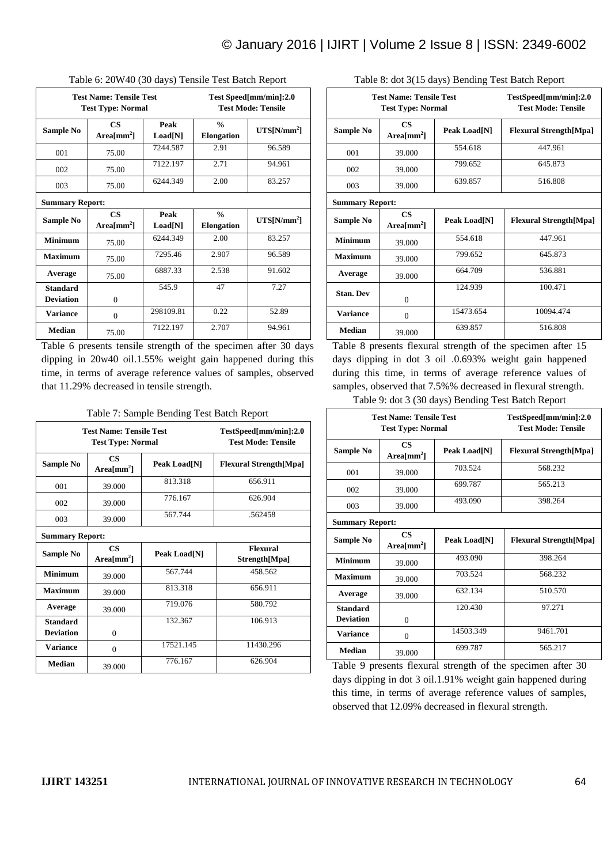| <b>Test Name: Tensile Test</b><br><b>Test Type: Normal</b> |                                      |                 |                                    | Test Speed[mm/min]:2.0<br><b>Test Mode: Tensile</b> |
|------------------------------------------------------------|--------------------------------------|-----------------|------------------------------------|-----------------------------------------------------|
| Sample No                                                  | $\mathbf{CS}$<br>Area ${\rm [mm^2]}$ | Peak<br>Load[N] | $\frac{0}{n}$<br><b>Elongation</b> | $UTS[N/mm^2]$                                       |
| 001                                                        | 75.00                                | 7244.587        | 2.91                               | 96.589                                              |
| 002                                                        | 75.00                                | 7122.197        | 2.71                               | 94.961                                              |
| 003                                                        | 75.00                                | 6244.349        | 2.00                               | 83.257                                              |
| <b>Summary Report:</b>                                     |                                      |                 |                                    |                                                     |
| Sample No                                                  | $\mathbf{CS}$<br>Area ${\rm [mm^2]}$ | Peak<br>Load[N] | $\frac{0}{0}$<br><b>Elongation</b> | $UTS[N/mm^2]$                                       |
| <b>Minimum</b>                                             | 75.00                                | 6244.349        | 2.00                               | 83.257                                              |
| <b>Maximum</b>                                             | 75.00                                | 7295.46         | 2.907                              | 96.589                                              |
| Average                                                    | 75.00                                | 6887.33         | 2.538                              | 91.602                                              |
| <b>Standard</b><br><b>Deviation</b>                        | $\mathbf{0}$                         | 545.9           | 47                                 | 7.27                                                |
| <b>Variance</b>                                            | $\mathbf{0}$                         | 298109.81       | 0.22                               | 52.89                                               |
| <b>Median</b>                                              | 75.00                                | 7122.197        | 2.707                              | 94.961                                              |

Table 6 presents tensile strength of the specimen after 30 days dipping in 20w40 oil.1.55% weight gain happened during this time, in terms of average reference values of samples, observed that 11.29% decreased in tensile strength.

Table 7: Sample Bending Test Batch Report

| <b>Test Name: Tensile Test</b><br><b>Test Type: Normal</b> |                                      |              | TestSpeed[mm/min]:2.0<br><b>Test Mode: Tensile</b> |
|------------------------------------------------------------|--------------------------------------|--------------|----------------------------------------------------|
| Sample No                                                  | <b>CS</b><br>$Area[mm^2]$            | Peak Load[N] | <b>Flexural Strength</b> [Mpa]                     |
| 001                                                        | 39.000                               | 813.318      | 656.911                                            |
| 002                                                        | 39.000                               | 776.167      | 626.904                                            |
| 003                                                        | 39.000                               | 567.744      | .562458                                            |
| <b>Summary Report:</b>                                     |                                      |              |                                                    |
| Sample No                                                  | $\mathbf{CS}$<br>Area ${\rm [mm^2]}$ | Peak Load[N] | Flexural<br>Strength[Mpa]                          |
| <b>Minimum</b>                                             | 39.000                               | 567.744      | 458.562                                            |
| <b>Maximum</b>                                             | 39,000                               | 813.318      | 656.911                                            |
| Average                                                    | 39.000                               | 719.076      | 580.792                                            |
| <b>Standard</b><br><b>Deviation</b>                        | $\theta$                             | 132.367      | 106.913                                            |
| <b>Variance</b>                                            | 0                                    | 17521.145    | 11430.296                                          |
| <b>Median</b>                                              | 39,000                               | 776.167      | 626.904                                            |

| <b>Test Name: Tensile Test</b><br><b>Test Type: Normal</b> |                                         |              | TestSpeed[mm/min]:2.0<br><b>Test Mode: Tensile</b> |
|------------------------------------------------------------|-----------------------------------------|--------------|----------------------------------------------------|
| Sample No                                                  | $\mathbf{CS}$<br>Area ${\rm [mm^2]}$    | Peak Load[N] | <b>Flexural Strength</b> [Mpa]                     |
| 001                                                        | 39.000                                  | 554.618      | 447.961                                            |
| 002                                                        | 39.000                                  | 799.652      | 645.873                                            |
| 003                                                        | 39,000                                  | 639.857      | 516.808                                            |
| <b>Summary Report:</b>                                     |                                         |              |                                                    |
| Sample No                                                  | $\mathbf{CS}$<br>Area $\text{[mm$^2$]}$ | Peak Load[N] | <b>Flexural Strength</b> [Mpa]                     |
| <b>Minimum</b>                                             | 39.000                                  | 554.618      | 447.961                                            |
| <b>Maximum</b>                                             | 39,000                                  | 799.652      | 645.873                                            |
| Average                                                    | 39.000                                  | 664.709      | 536.881                                            |
| <b>Stan. Dev</b>                                           | $\theta$                                | 124.939      | 100.471                                            |
| <b>Variance</b>                                            | $\overline{0}$                          | 15473.654    | 10094.474                                          |
| <b>Median</b>                                              | 39.000                                  | 639.857      | 516.808                                            |

Table 8: dot 3(15 days) Bending Test Batch Report

Table 8 presents flexural strength of the specimen after 15 days dipping in dot 3 oil .0.693% weight gain happened during this time, in terms of average reference values of samples, observed that 7.5%% decreased in flexural strength. Table 9: dot 3 (30 days) Bending Test Batch Report

| <b>Test Name: Tensile Test</b><br><b>Test Type: Normal</b> |                                         |              | TestSpeed[mm/min]:2.0<br><b>Test Mode: Tensile</b> |
|------------------------------------------------------------|-----------------------------------------|--------------|----------------------------------------------------|
| Sample No                                                  | $\mathbf{CS}$<br>Area $\text{[mm]}$     | Peak Load[N] | <b>Flexural Strength</b> [Mpa]                     |
| 001                                                        | 39,000                                  | 703.524      | 568.232                                            |
| 002                                                        | 39,000                                  | 699.787      | 565.213                                            |
| 003                                                        | 39,000                                  | 493.090      | 398.264                                            |
| <b>Summary Report:</b>                                     |                                         |              |                                                    |
| Sample No                                                  | $\mathbf{CS}$<br>Area $\text{[mm$^2$]}$ | Peak Load[N] | <b>Flexural Strength</b> [Mpa]                     |
| <b>Minimum</b>                                             | 39.000                                  | 493.090      | 398.264                                            |
| <b>Maximum</b>                                             | 39.000                                  | 703.524      | 568.232                                            |
| Average                                                    | 39.000                                  | 632.134      | 510.570                                            |
| <b>Standard</b>                                            |                                         | 120.430      | 97.271                                             |
| <b>Deviation</b>                                           | $\Omega$                                |              |                                                    |
| <b>Variance</b>                                            | $\Omega$                                | 14503.349    | 9461.701                                           |
| <b>Median</b>                                              | 39.000                                  | 699.787      | 565.217                                            |

Table 9 presents flexural strength of the specimen after 30 days dipping in dot 3 oil.1.91% weight gain happened during this time, in terms of average reference values of samples, observed that 12.09% decreased in flexural strength.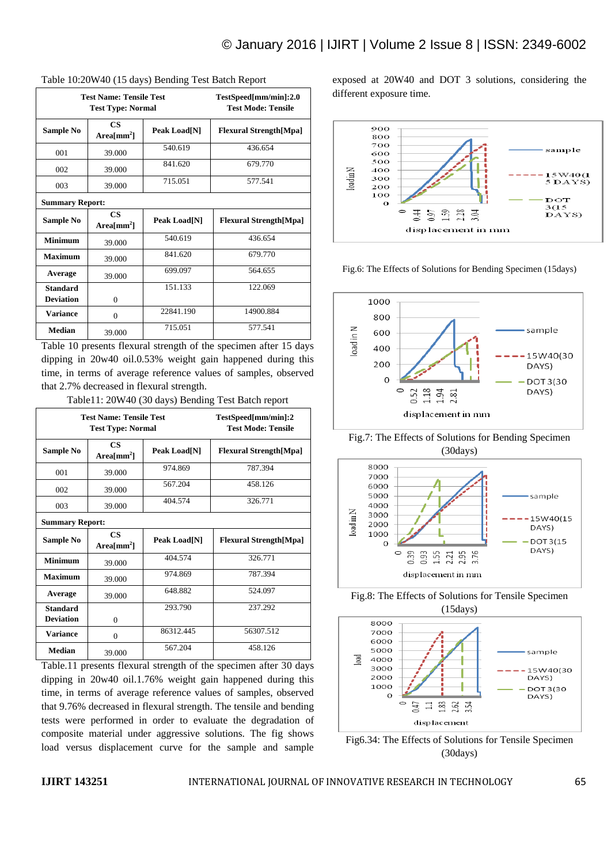| <b>Test Name: Tensile Test</b><br><b>Test Type: Normal</b> |                                               |              | TestSpeed[mm/min]:2.0<br><b>Test Mode: Tensile</b> |
|------------------------------------------------------------|-----------------------------------------------|--------------|----------------------------------------------------|
| Sample No                                                  | $\mathbf{CS}$<br>$Area[mm^2]$                 | Peak Load[N] | <b>Flexural Strength[Mpa]</b>                      |
| 001                                                        | 39.000                                        | 540.619      | 436.654                                            |
| 002                                                        | 39.000                                        | 841.620      | 679.770                                            |
| 003                                                        | 39.000                                        | 715.051      | 577.541                                            |
| <b>Summary Report:</b>                                     |                                               |              |                                                    |
| Sample No                                                  | $\overline{\text{CS}}$<br>Area ${\rm [mm^2]}$ | Peak Load[N] | <b>Flexural Strength</b> [Mpa]                     |
| <b>Minimum</b>                                             | 39.000                                        | 540.619      | 436.654                                            |
| <b>Maximum</b>                                             | 39.000                                        | 841.620      | 679.770                                            |
| Average                                                    | 39.000                                        | 699.097      | 564.655                                            |
| <b>Standard</b><br><b>Deviation</b>                        | $\mathbf{0}$                                  | 151.133      | 122.069                                            |
| <b>Variance</b>                                            | $\mathbf{0}$                                  | 22841.190    | 14900.884                                          |
| <b>Median</b>                                              | 39.000                                        | 715.051      | 577.541                                            |

### Table 10:20W40 (15 days) Bending Test Batch Report

Table 10 presents flexural strength of the specimen after 15 days dipping in 20w40 oil.0.53% weight gain happened during this time, in terms of average reference values of samples, observed that 2.7% decreased in flexural strength.

Table11: 20W40 (30 days) Bending Test Batch report

| <b>Test Name: Tensile Test</b><br><b>Test Type: Normal</b> |                                     |              | TestSpeed[mm/min]:2<br><b>Test Mode: Tensile</b> |
|------------------------------------------------------------|-------------------------------------|--------------|--------------------------------------------------|
| Sample No                                                  | $\mathbf{CS}$<br>Area $\text{[mm]}$ | Peak Load[N] | <b>Flexural Strength</b> [Mpa]                   |
| 001                                                        | 39.000                              | 974.869      | 787.394                                          |
| 002                                                        | 39,000                              | 567.204      | 458.126                                          |
| 003                                                        | 39,000                              | 404.574      | 326.771                                          |
| <b>Summary Report:</b>                                     |                                     |              |                                                  |
| Sample No                                                  | <b>CS</b><br>Area $\text{[mm]}$     | Peak Load[N] | <b>Flexural Strength</b> [Mpa]                   |
| <b>Minimum</b>                                             | 39.000                              | 404.574      | 326.771                                          |
| Maximum                                                    | 39,000                              | 974.869      | 787.394                                          |
| Average                                                    | 39.000                              | 648.882      | 524.097                                          |
| <b>Standard</b><br><b>Deviation</b>                        | 0                                   | 293.790      | 237.292                                          |
| <b>Variance</b>                                            | $\theta$                            | 86312.445    | 56307.512                                        |
| <b>Median</b>                                              | 39,000                              | 567.204      | 458.126                                          |

Table.11 presents flexural strength of the specimen after 30 days dipping in 20w40 oil.1.76% weight gain happened during this time, in terms of average reference values of samples, observed that 9.76% decreased in flexural strength. The tensile and bending tests were performed in order to evaluate the degradation of composite material under aggressive solutions. The fig shows load versus displacement curve for the sample and sample exposed at 20W40 and DOT 3 solutions, considering the different exposure time.



Fig.6: The Effects of Solutions for Bending Specimen (15days)